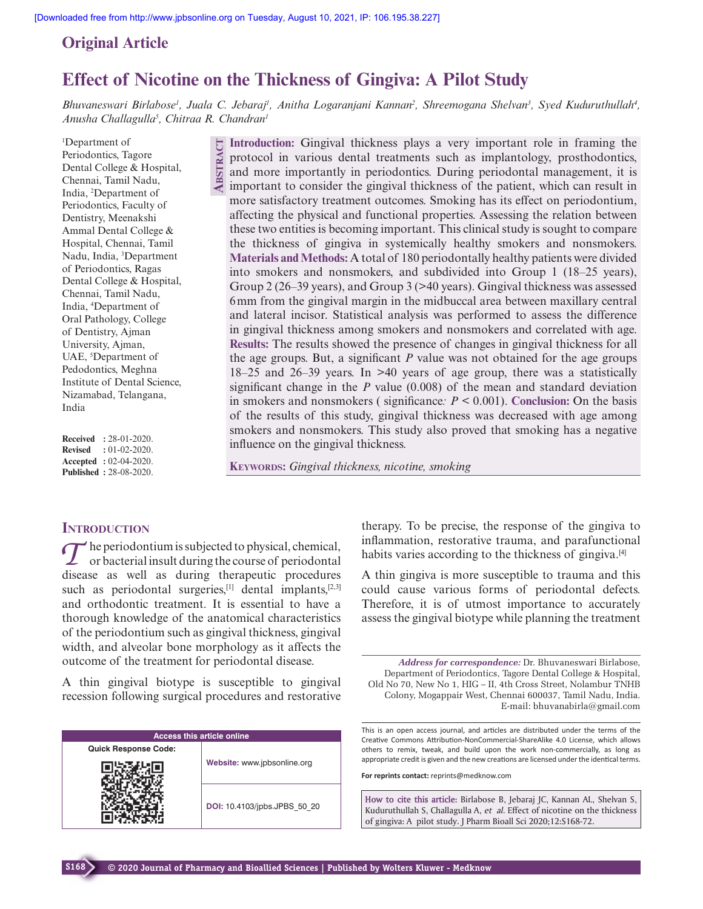## **Original Article**

# **Effect of Nicotine on the Thickness of Gingiva: A Pilot Study**

Bhuvaneswari Birlabose<sup>1</sup>, Juala C. Jebaraj<sup>1</sup>, Anitha Logaranjani Kannan<sup>2</sup>, Shreemogana Shelvan<sup>3</sup>, Syed Kuduruthullah<sup>4</sup>, *Anusha Challagulla<sup>5</sup> , Chitraa R. Chandran<sup>1</sup>*

<sup>1</sup>Department of Periodontics, Tagore Dental College & Hospital, Chennai, Tamil Nadu, India, <sup>2</sup>Department of Periodontics, Faculty of Dentistry, Meenakshi Ammal Dental College & Hospital, Chennai, Tamil Nadu, India, <sup>3</sup>Department of Periodontics, Ragas Dental College & Hospital, Chennai, Tamil Nadu, India, <sup>4</sup>Department of Oral Pathology, College of Dentistry, Ajman University, Ajman, UAE, <sup>5</sup>Department of Pedodontics, Meghna Institute of Dental Science, Nizamabad, Telangana, India

**Received :** 28-01-2020. **Revised :** 01-02-2020. **Accepted :** 02-04-2020. **Published :** 28-08-2020.

**Introduction:** Gingival thickness plays a very important role in framing the protocol in various dental treatments such as implantology, prosthodontics, and more importantly in periodontics. During periodontal management, it is important to consider the gingival thickness of the patient, which can result in more satisfactory treatment outcomes. Smoking has its effect on periodontium, affecting the physical and functional properties. Assessing the relation between these two entities is becoming important. This clinical study is sought to compare the thickness of gingiva in systemically healthy smokers and nonsmokers. **Materials and Methods:** A total of 180 periodontally healthy patients were divided into smokers and nonsmokers, and subdivided into Group 1 (18–25 years), Group 2 (26–39 years), and Group 3 (>40 years). Gingival thickness was assessed 6 mm from the gingival margin in the midbuccal area between maxillary central and lateral incisor. Statistical analysis was performed to assess the difference in gingival thickness among smokers and nonsmokers and correlated with age. **Results:** The results showed the presence of changes in gingival thickness for all the age groups. But, a significant *P* value was not obtained for the age groups 18–25 and 26–39 years. In >40 years of age group, there was a statistically significant change in the *P* value (0.008) of the mean and standard deviation in smokers and nonsmokers ( significance*: P* < 0.001). **Conclusion:** On the basis of the results of this study, gingival thickness was decreased with age among smokers and nonsmokers. This study also proved that smoking has a negative influence on the gingival thickness. **ABSTRACT**

**KEYWORDS:** *Gingival thickness, nicotine, smoking*

### **INTRODUCTION**

The periodontium is subjected to physical, chemical,<br>
The periodontium is subjected to physical, chemical,<br>
or bacterial insult during the course of periodontal he periodontium is subjected to physical, chemical, disease as well as during therapeutic procedures such as periodontal surgeries, $[1]$  dental implants, $[2,3]$ and orthodontic treatment. It is essential to have a thorough knowledge of the anatomical characteristics of the periodontium such as gingival thickness, gingival width, and alveolar bone morphology as it affects the outcome of the treatment for periodontal disease.

A thin gingival biotype is susceptible to gingival recession following surgical procedures and restorative

| <b>Access this article online</b> |                              |  |  |  |
|-----------------------------------|------------------------------|--|--|--|
| <b>Quick Response Code:</b>       |                              |  |  |  |
|                                   | Website: www.jpbsonline.org  |  |  |  |
|                                   | DOI: 10.4103/jpbs.JPBS 50 20 |  |  |  |

therapy. To be precise, the response of the gingiva to inflammation, restorative trauma, and parafunctional habits varies according to the thickness of gingiva.[4]

A thin gingiva is more susceptible to trauma and this could cause various forms of periodontal defects. Therefore, it is of utmost importance to accurately assess the gingival biotype while planning the treatment

*Address for correspondence:* Dr. Bhuvaneswari Birlabose, Department of Periodontics, Tagore Dental College & Hospital, Old No 70, New No 1, HIG – II, 4th Cross Street, Nolambur TNHB Colony, Mogappair West, Chennai 600037, Tamil Nadu, India. E-mail: bhuvanabirla@gmail.com

This is an open access journal, and articles are distributed under the terms of the Creative Commons Attribution-NonCommercial-ShareAlike 4.0 License, which allows others to remix, tweak, and build upon the work non-commercially, as long as appropriate credit is given and the new creations are licensed under the identical terms.

**For reprints contact:** reprints@medknow.com

**How to cite this article:** Birlabose B, Jebaraj JC, Kannan AL, Shelvan S, Kuduruthullah S, Challagulla A, *et al*. Effect of nicotine on the thickness of gingiva: A pilot study. J Pharm Bioall Sci 2020;12:S168-72.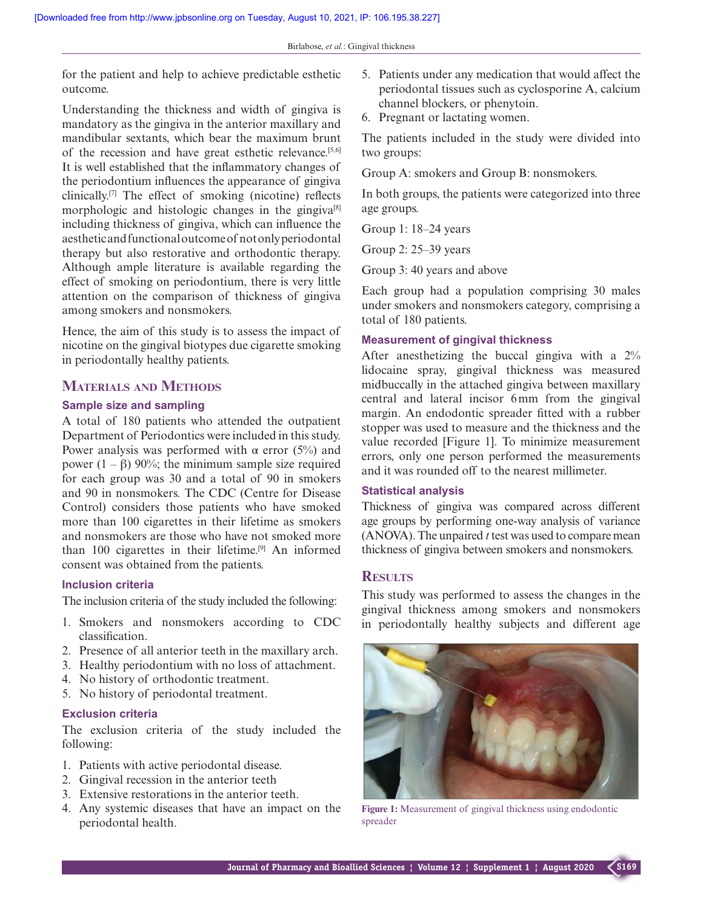for the patient and help to achieve predictable esthetic outcome.

Understanding the thickness and width of gingiva is mandatory as the gingiva in the anterior maxillary and mandibular sextants, which bear the maximum brunt of the recession and have great esthetic relevance.[5,6] It is well established that the inflammatory changes of the periodontium influences the appearance of gingiva clinically.[7] The effect of smoking (nicotine) reflects morphologic and histologic changes in the gingiva[8] including thickness of gingiva, which can influence the aesthetic and functional outcome of not only periodontal therapy but also restorative and orthodontic therapy. Although ample literature is available regarding the effect of smoking on periodontium, there is very little attention on the comparison of thickness of gingiva among smokers and nonsmokers.

Hence, the aim of this study is to assess the impact of nicotine on the gingival biotypes due cigarette smoking in periodontally healthy patients.

#### **MATERIALS AND METHODS**

#### **Sample size and sampling**

A total of 180 patients who attended the outpatient Department of Periodontics were included in this study. Power analysis was performed with  $\alpha$  error (5%) and power  $(1 - \beta)$  90%; the minimum sample size required for each group was 30 and a total of 90 in smokers and 90 in nonsmokers. The CDC (Centre for Disease Control) considers those patients who have smoked more than 100 cigarettes in their lifetime as smokers and nonsmokers are those who have not smoked more than 100 cigarettes in their lifetime.[9] An informed consent was obtained from the patients.

#### **Inclusion criteria**

The inclusion criteria of the study included the following:

- 1. Smokers and nonsmokers according to CDC classification.
- 2. Presence of all anterior teeth in the maxillary arch.
- 3. Healthy periodontium with no loss of attachment.
- 4. No history of orthodontic treatment.
- 5. No history of periodontal treatment.

#### **Exclusion criteria**

The exclusion criteria of the study included the following:

- 1. Patients with active periodontal disease.
- 2. Gingival recession in the anterior teeth
- 3. Extensive restorations in the anterior teeth.
- 4. Any systemic diseases that have an impact on the periodontal health.
- 5. Patients under any medication that would affect the periodontal tissues such as cyclosporine A, calcium channel blockers, or phenytoin.
- 6. Pregnant or lactating women.

The patients included in the study were divided into two groups:

Group A: smokers and Group B: nonsmokers.

In both groups, the patients were categorized into three age groups.

Group 1: 18–24 years

Group 2: 25–39 years

Group 3: 40 years and above

Each group had a population comprising 30 males under smokers and nonsmokers category, comprising a total of 180 patients.

#### **Measurement of gingival thickness**

After anesthetizing the buccal gingiva with a 2% lidocaine spray, gingival thickness was measured midbuccally in the attached gingiva between maxillary central and lateral incisor 6 mm from the gingival margin. An endodontic spreader fitted with a rubber stopper was used to measure and the thickness and the value recorded [Figure 1]. To minimize measurement errors, only one person performed the measurements and it was rounded off to the nearest millimeter.

#### **Statistical analysis**

Thickness of gingiva was compared across different age groups by performing one-way analysis of variance (ANOVA). The unpaired *t* test was used to compare mean thickness of gingiva between smokers and nonsmokers.

#### **RESULTS**

This study was performed to assess the changes in the gingival thickness among smokers and nonsmokers in periodontally healthy subjects and different age



**Figure 1:** Measurement of gingival thickness using endodontic spreader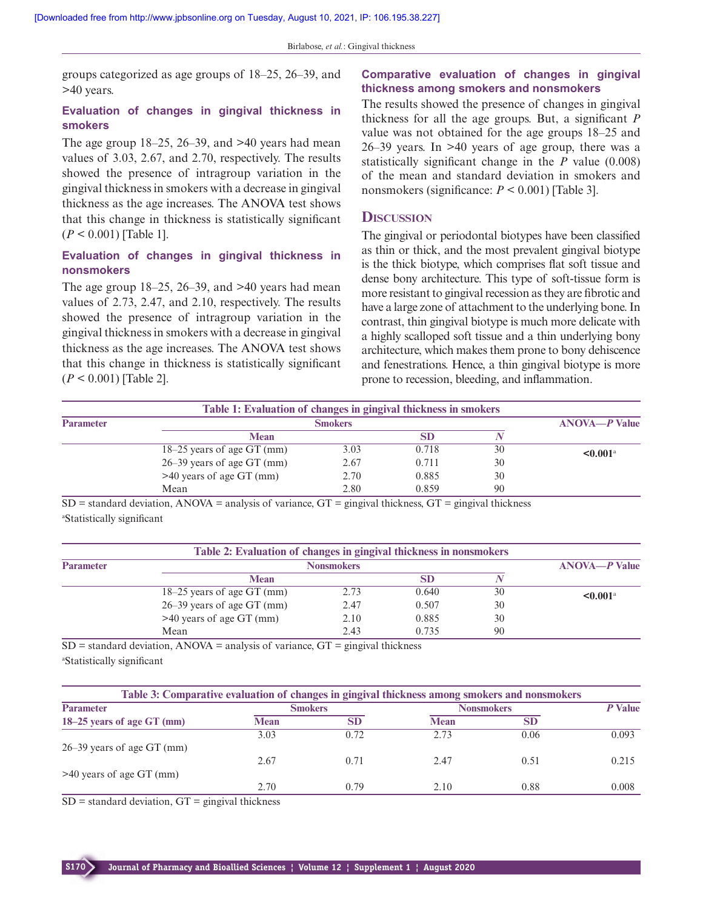groups categorized as age groups of 18–25, 26–39, and >40 years.

#### **Evaluation of changes in gingival thickness in smokers**

The age group  $18-25$ ,  $26-39$ , and  $>40$  years had mean values of 3.03, 2.67, and 2.70, respectively. The results showed the presence of intragroup variation in the gingival thickness in smokers with a decrease in gingival thickness as the age increases. The ANOVA test shows that this change in thickness is statistically significant (*P* < 0.001) [Table 1].

#### **Evaluation of changes in gingival thickness in nonsmokers**

The age group  $18-25$ ,  $26-39$ , and  $>40$  years had mean values of 2.73, 2.47, and 2.10, respectively. The results showed the presence of intragroup variation in the gingival thickness in smokers with a decrease in gingival thickness as the age increases. The ANOVA test shows that this change in thickness is statistically significant (*P* < 0.001) [Table 2].

#### **Comparative evaluation of changes in gingival thickness among smokers and nonsmokers**

The results showed the presence of changes in gingival thickness for all the age groups. But, a significant *P* value was not obtained for the age groups 18–25 and 26–39 years. In >40 years of age group, there was a statistically significant change in the *P* value (0.008) of the mean and standard deviation in smokers and nonsmokers (significance:  $P \leq 0.001$ ) [Table 3].

#### **DISCUSSION**

The gingival or periodontal biotypes have been classified as thin or thick, and the most prevalent gingival biotype is the thick biotype, which comprises flat soft tissue and dense bony architecture. This type of soft-tissue form is more resistant to gingival recession as they are fibrotic and have a large zone of attachment to the underlying bone. In contrast, thin gingival biotype is much more delicate with a highly scalloped soft tissue and a thin underlying bony architecture, which makes them prone to bony dehiscence and fenestrations. Hence, a thin gingival biotype is more prone to recession, bleeding, and inflammation.

| Table 1: Evaluation of changes in gingival thickness in smokers |                              |      |       |    |                           |  |
|-----------------------------------------------------------------|------------------------------|------|-------|----|---------------------------|--|
| <b>Parameter</b>                                                | <b>Smokers</b>               |      |       |    | $ANOVA$ — $P$ Value       |  |
|                                                                 | <b>Mean</b>                  |      |       |    |                           |  |
|                                                                 | $18-25$ years of age GT (mm) | 3.03 | 0.718 | 30 | $\leq 0.001$ <sup>a</sup> |  |
|                                                                 | $26-39$ years of age GT (mm) | 2.67 | 0.711 | 30 |                           |  |
|                                                                 | $>40$ years of age GT (mm)   | 2.70 | 0.885 | 30 |                           |  |
|                                                                 | Mean                         | 2.80 | 0.859 | 90 |                           |  |

 $SD =$  standard deviation, ANOVA = analysis of variance,  $GT =$  gingival thickness,  $GT =$  gingival thickness <sup>a</sup>Statistically significant

| Table 2: Evaluation of changes in gingival thickness in nonsmokers |                              |      |       |    |                           |  |
|--------------------------------------------------------------------|------------------------------|------|-------|----|---------------------------|--|
| <b>Parameter</b>                                                   | <b>Nonsmokers</b>            |      |       |    | $ANOVA$ — $P$ Value       |  |
|                                                                    | <b>Mean</b>                  |      |       |    |                           |  |
|                                                                    | $18-25$ years of age GT (mm) | 2.73 | 0.640 | 30 | $\leq 0.001$ <sup>a</sup> |  |
|                                                                    | $26-39$ years of age GT (mm) | 2.47 | 0.507 | 30 |                           |  |
|                                                                    | $>40$ years of age GT (mm)   | 2.10 | 0.885 | 30 |                           |  |
|                                                                    | Mean                         | 2.43 | 0.735 | 90 |                           |  |

 $SD =$  standard deviation, ANOVA = analysis of variance,  $GT =$  gingival thickness <sup>a</sup>Statistically significant

| Table 3: Comparative evaluation of changes in gingival thickness among smokers and nonsmokers |                |           |                   |           |         |  |  |
|-----------------------------------------------------------------------------------------------|----------------|-----------|-------------------|-----------|---------|--|--|
| <b>Parameter</b>                                                                              | <b>Smokers</b> |           | <b>Nonsmokers</b> |           | P Value |  |  |
| 18–25 years of age GT (mm)                                                                    | <b>Mean</b>    | <b>SD</b> | <b>Mean</b>       | <b>SD</b> |         |  |  |
|                                                                                               | 3.03           | 0.72      | 2.73              | 0.06      | 0.093   |  |  |
| $26-39$ years of age GT (mm)                                                                  |                |           |                   |           |         |  |  |
|                                                                                               | 2.67           | 0.71      | 2.47              | 0.51      | 0.215   |  |  |
| $>40$ years of age GT (mm)                                                                    |                |           |                   |           |         |  |  |
|                                                                                               | 2.70           | 0.79      | 2.10              | 0.88      | 0.008   |  |  |

 $SD =$  standard deviation,  $GT =$  gingival thickness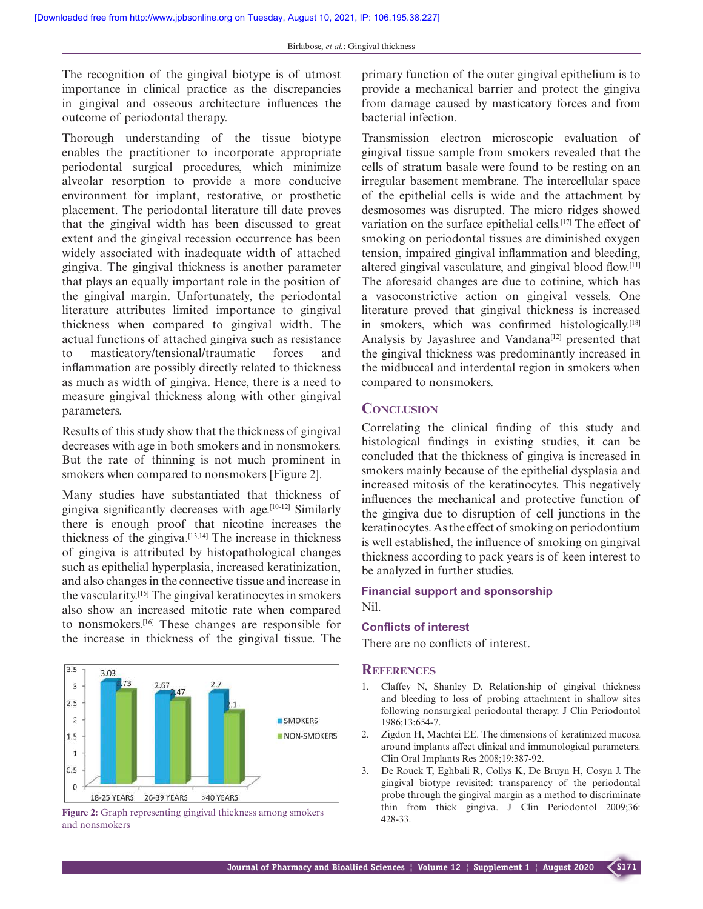The recognition of the gingival biotype is of utmost importance in clinical practice as the discrepancies in gingival and osseous architecture influences the outcome of periodontal therapy.

Thorough understanding of the tissue biotype enables the practitioner to incorporate appropriate periodontal surgical procedures, which minimize alveolar resorption to provide a more conducive environment for implant, restorative, or prosthetic placement. The periodontal literature till date proves that the gingival width has been discussed to great extent and the gingival recession occurrence has been widely associated with inadequate width of attached gingiva. The gingival thickness is another parameter that plays an equally important role in the position of the gingival margin. Unfortunately, the periodontal literature attributes limited importance to gingival thickness when compared to gingival width. The actual functions of attached gingiva such as resistance to masticatory/tensional/traumatic forces and inflammation are possibly directly related to thickness as much as width of gingiva. Hence, there is a need to measure gingival thickness along with other gingival parameters.

Results of this study show that the thickness of gingival decreases with age in both smokers and in nonsmokers. But the rate of thinning is not much prominent in smokers when compared to nonsmokers [Figure 2].

Many studies have substantiated that thickness of gingiva significantly decreases with age.<sup>[10-12]</sup> Similarly there is enough proof that nicotine increases the thickness of the gingiva.[13,14] The increase in thickness of gingiva is attributed by histopathological changes such as epithelial hyperplasia, increased keratinization, and also changes in the connective tissue and increase in the vascularity.[15] The gingival keratinocytes in smokers also show an increased mitotic rate when compared to nonsmokers.[16] These changes are responsible for the increase in thickness of the gingival tissue. The



**Figure 2:** Graph representing gingival thickness among smokers  $428-33$ . and nonsmokers

primary function of the outer gingival epithelium is to provide a mechanical barrier and protect the gingiva from damage caused by masticatory forces and from bacterial infection.

Transmission electron microscopic evaluation of gingival tissue sample from smokers revealed that the cells of stratum basale were found to be resting on an irregular basement membrane. The intercellular space of the epithelial cells is wide and the attachment by desmosomes was disrupted. The micro ridges showed variation on the surface epithelial cells.[17] The effect of smoking on periodontal tissues are diminished oxygen tension, impaired gingival inflammation and bleeding, altered gingival vasculature, and gingival blood flow.[11] The aforesaid changes are due to cotinine, which has a vasoconstrictive action on gingival vessels. One literature proved that gingival thickness is increased in smokers, which was confirmed histologically.<sup>[18]</sup> Analysis by Jayashree and Vandana<sup>[12]</sup> presented that the gingival thickness was predominantly increased in the midbuccal and interdental region in smokers when compared to nonsmokers.

#### **CONCLUSION**

Correlating the clinical finding of this study and histological findings in existing studies, it can be concluded that the thickness of gingiva is increased in smokers mainly because of the epithelial dysplasia and increased mitosis of the keratinocytes. This negatively influences the mechanical and protective function of the gingiva due to disruption of cell junctions in the keratinocytes. As the effect of smoking on periodontium is well established, the influence of smoking on gingival thickness according to pack years is of keen interest to be analyzed in further studies.

#### **Financial support and sponsorship** Nil.

#### **Conflicts of interest**

There are no conflicts of interest.

#### **REFERENCES**

- 1. Claffey N, Shanley D. Relationship of gingival thickness and bleeding to loss of probing attachment in shallow sites following nonsurgical periodontal therapy. J Clin Periodontol 1986;13:654-7.
- 2. Zigdon H, Machtei EE. The dimensions of keratinized mucosa around implants affect clinical and immunological parameters. Clin Oral Implants Res 2008;19:387-92.
- 3. De Rouck T, Eghbali R, Collys K, De Bruyn H, Cosyn J. The gingival biotype revisited: transparency of the periodontal probe through the gingival margin as a method to discriminate thin from thick gingiva. J Clin Periodontol 2009;36: